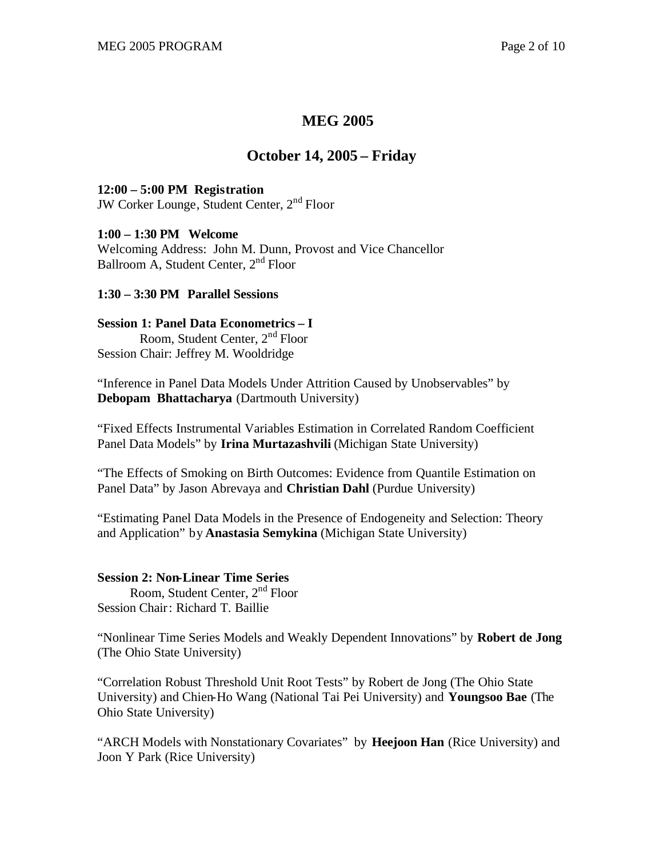# **MEG 2005**

# **October 14, 2005 – Friday**

### **12:00 – 5:00 PM Registration**

JW Corker Lounge, Student Center, 2<sup>nd</sup> Floor

#### **1:00 – 1:30 PM Welcome**

Welcoming Address: John M. Dunn, Provost and Vice Chancellor Ballroom A, Student Center, 2<sup>nd</sup> Floor

## **1:30 – 3:30 PM Parallel Sessions**

## **Session 1: Panel Data Econometrics – I**

 Room, Student Center, 2nd Floor Session Chair: Jeffrey M. Wooldridge

"Inference in Panel Data Models Under Attrition Caused by Unobservables" by **Debopam Bhattacharya** (Dartmouth University)

"Fixed Effects Instrumental Variables Estimation in Correlated Random Coefficient Panel Data Models" by **Irina Murtazashvili** (Michigan State University)

"The Effects of Smoking on Birth Outcomes: Evidence from Quantile Estimation on Panel Data" by Jason Abrevaya and **Christian Dahl** (Purdue University)

"Estimating Panel Data Models in the Presence of Endogeneity and Selection: Theory and Application" by **Anastasia Semykina** (Michigan State University)

## **Session 2: Non-Linear Time Series**

 Room, Student Center, 2nd Floor Session Chair: Richard T. Baillie

"Nonlinear Time Series Models and Weakly Dependent Innovations" by **Robert de Jong** (The Ohio State University)

"Correlation Robust Threshold Unit Root Tests" by Robert de Jong (The Ohio State University) and Chien-Ho Wang (National Tai Pei University) and **Youngsoo Bae** (The Ohio State University)

"ARCH Models with Nonstationary Covariates" by **Heejoon Han** (Rice University) and Joon Y Park (Rice University)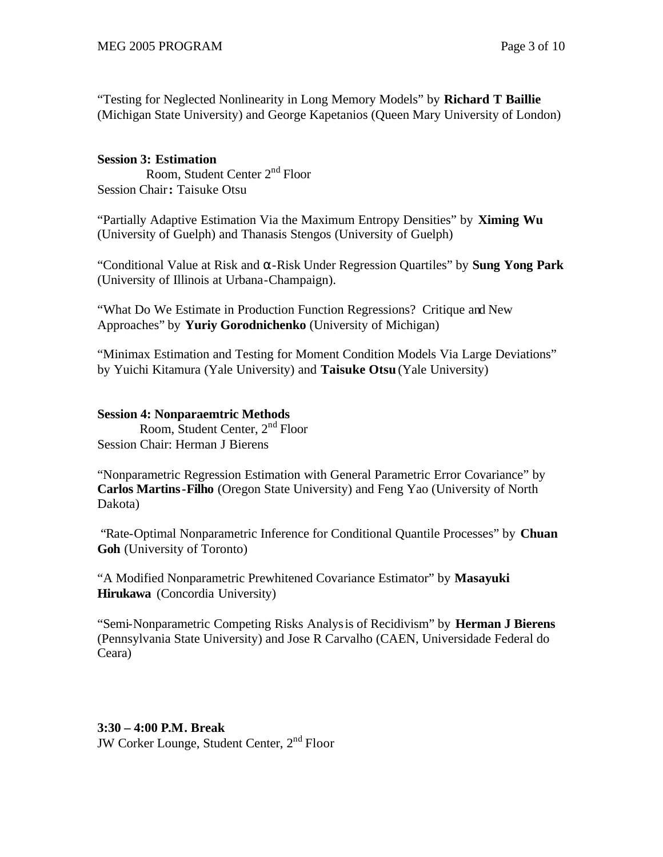"Testing for Neglected Nonlinearity in Long Memory Models" by **Richard T Baillie**  (Michigan State University) and George Kapetanios (Queen Mary University of London)

# **Session 3: Estimation**

 Room, Student Center 2nd Floor Session Chair**:** Taisuke Otsu

"Partially Adaptive Estimation Via the Maximum Entropy Densities" by **Ximing Wu** (University of Guelph) and Thanasis Stengos (University of Guelph)

"Conditional Value at Risk and α-Risk Under Regression Quartiles" by **Sung Yong Park** (University of Illinois at Urbana-Champaign).

"What Do We Estimate in Production Function Regressions? Critique and New Approaches" by **Yuriy Gorodnichenko** (University of Michigan)

"Minimax Estimation and Testing for Moment Condition Models Via Large Deviations" by Yuichi Kitamura (Yale University) and **Taisuke Otsu** (Yale University)

# **Session 4: Nonparaemtric Methods**

 Room, Student Center, 2nd Floor Session Chair: Herman J Bierens

"Nonparametric Regression Estimation with General Parametric Error Covariance" by **Carlos Martins-Filho** (Oregon State University) and Feng Yao (University of North Dakota)

 "Rate-Optimal Nonparametric Inference for Conditional Quantile Processes" by **Chuan Goh** (University of Toronto)

"A Modified Nonparametric Prewhitened Covariance Estimator" by **Masayuki Hirukawa** (Concordia University)

"Semi-Nonparametric Competing Risks Analysis of Recidivism" by **Herman J Bierens** (Pennsylvania State University) and Jose R Carvalho (CAEN, Universidade Federal do Ceara)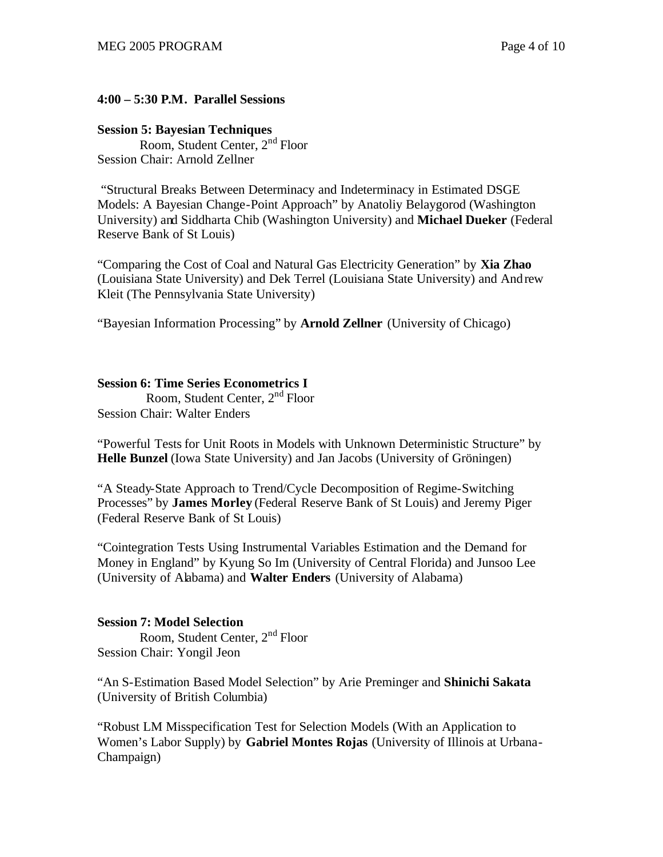# **4:00 – 5:30 P.M. Parallel Sessions**

# **Session 5: Bayesian Techniques**

 Room, Student Center, 2nd Floor Session Chair: Arnold Zellner

 "Structural Breaks Between Determinacy and Indeterminacy in Estimated DSGE Models: A Bayesian Change-Point Approach" by Anatoliy Belaygorod (Washington University) and Siddharta Chib (Washington University) and **Michael Dueker** (Federal Reserve Bank of St Louis)

"Comparing the Cost of Coal and Natural Gas Electricity Generation" by **Xia Zhao**  (Louisiana State University) and Dek Terrel (Louisiana State University) and Andrew Kleit (The Pennsylvania State University)

"Bayesian Information Processing" by **Arnold Zellner** (University of Chicago)

# **Session 6: Time Series Econometrics I**

 Room, Student Center, 2nd Floor Session Chair: Walter Enders

"Powerful Tests for Unit Roots in Models with Unknown Deterministic Structure" by **Helle Bunzel** (Iowa State University) and Jan Jacobs (University of Gröningen)

"A Steady-State Approach to Trend/Cycle Decomposition of Regime-Switching Processes" by **James Morley** (Federal Reserve Bank of St Louis) and Jeremy Piger (Federal Reserve Bank of St Louis)

"Cointegration Tests Using Instrumental Variables Estimation and the Demand for Money in England" by Kyung So Im (University of Central Florida) and Junsoo Lee (University of Alabama) and **Walter Enders** (University of Alabama)

# **Session 7: Model Selection**

 Room, Student Center, 2nd Floor Session Chair: Yongil Jeon

"An S-Estimation Based Model Selection" by Arie Preminger and **Shinichi Sakata**  (University of British Columbia)

"Robust LM Misspecification Test for Selection Models (With an Application to Women's Labor Supply) by **Gabriel Montes Rojas** (University of Illinois at Urbana-Champaign)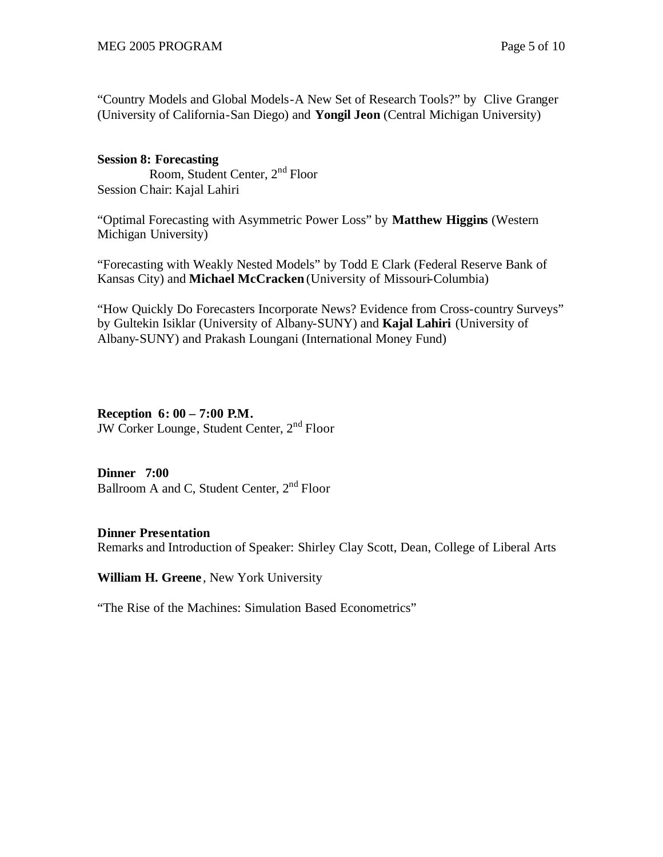"Country Models and Global Models-A New Set of Research Tools?" by Clive Granger (University of California-San Diego) and **Yongil Jeon** (Central Michigan University)

#### **Session 8: Forecasting**

 Room, Student Center, 2nd Floor Session Chair: Kajal Lahiri

"Optimal Forecasting with Asymmetric Power Loss" by **Matthew Higgins** (Western Michigan University)

"Forecasting with Weakly Nested Models" by Todd E Clark (Federal Reserve Bank of Kansas City) and **Michael McCracken** (University of Missouri-Columbia)

"How Quickly Do Forecasters Incorporate News? Evidence from Cross-country Surveys" by Gultekin Isiklar (University of Albany-SUNY) and **Kajal Lahiri** (University of Albany-SUNY) and Prakash Loungani (International Money Fund)

#### **Reception 6: 00 – 7:00 P.M.**

JW Corker Lounge, Student Center, 2nd Floor

#### **Dinner 7:00**

Ballroom A and C, Student Center, 2<sup>nd</sup> Floor

#### **Dinner Presentation**

Remarks and Introduction of Speaker: Shirley Clay Scott, Dean, College of Liberal Arts

**William H. Greene** , New York University

"The Rise of the Machines: Simulation Based Econometrics"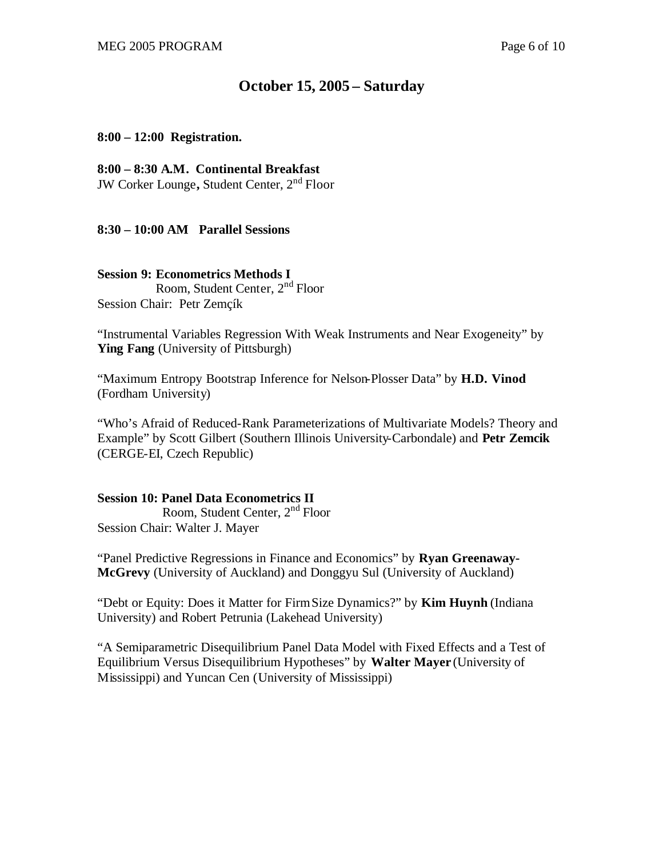# **October 15, 2005 – Saturday**

#### **8:00 – 12:00 Registration.**

#### **8:00 – 8:30 A.M. Continental Breakfast**

JW Corker Lounge**,** Student Center, 2nd Floor

#### **8:30 – 10:00 AM Parallel Sessions**

#### **Session 9: Econometrics Methods I**

 Room, Student Center, 2nd Floor Session Chair: Petr Zemçík

"Instrumental Variables Regression With Weak Instruments and Near Exogeneity" by **Ying Fang** (University of Pittsburgh)

"Maximum Entropy Bootstrap Inference for Nelson-Plosser Data" by **H.D. Vinod** (Fordham University)

"Who's Afraid of Reduced-Rank Parameterizations of Multivariate Models? Theory and Example" by Scott Gilbert (Southern Illinois University-Carbondale) and **Petr Zemcik** (CERGE-EI, Czech Republic)

**Session 10: Panel Data Econometrics II** Room, Student Center, 2nd Floor Session Chair: Walter J. Mayer

"Panel Predictive Regressions in Finance and Economics" by **Ryan Greenaway-McGrevy** (University of Auckland) and Donggyu Sul (University of Auckland)

"Debt or Equity: Does it Matter for Firm Size Dynamics?" by **Kim Huynh** (Indiana University) and Robert Petrunia (Lakehead University)

"A Semiparametric Disequilibrium Panel Data Model with Fixed Effects and a Test of Equilibrium Versus Disequilibrium Hypotheses" by **Walter Mayer** (University of Mississippi) and Yuncan Cen (University of Mississippi)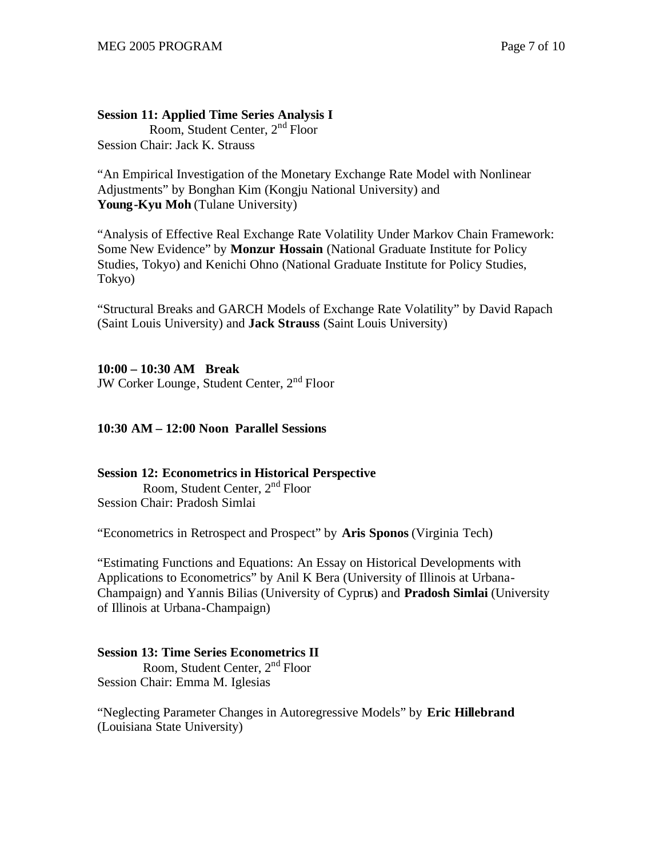# **Session 11: Applied Time Series Analysis I**

 Room, Student Center, 2nd Floor Session Chair: Jack K. Strauss

"An Empirical Investigation of the Monetary Exchange Rate Model with Nonlinear Adjustments" by Bonghan Kim (Kongju National University) and **Young-Kyu Moh** (Tulane University)

"Analysis of Effective Real Exchange Rate Volatility Under Markov Chain Framework: Some New Evidence" by **Monzur Hossain** (National Graduate Institute for Policy Studies, Tokyo) and Kenichi Ohno (National Graduate Institute for Policy Studies, Tokyo)

"Structural Breaks and GARCH Models of Exchange Rate Volatility" by David Rapach (Saint Louis University) and **Jack Strauss** (Saint Louis University)

# **10:00 – 10:30 AM Break**

JW Corker Lounge, Student Center, 2nd Floor

## **10:30 AM – 12:00 Noon Parallel Sessions**

#### **Session 12: Econometrics in Historical Perspective**

 Room, Student Center, 2nd Floor Session Chair: Pradosh Simlai

"Econometrics in Retrospect and Prospect" by **Aris Sponos** (Virginia Tech)

"Estimating Functions and Equations: An Essay on Historical Developments with Applications to Econometrics" by Anil K Bera (University of Illinois at Urbana-Champaign) and Yannis Bilias (University of Cyprus) and **Pradosh Simlai** (University of Illinois at Urbana-Champaign)

# **Session 13: Time Series Econometrics II**

 Room, Student Center, 2nd Floor Session Chair: Emma M. Iglesias

"Neglecting Parameter Changes in Autoregressive Models" by **Eric Hillebrand** (Louisiana State University)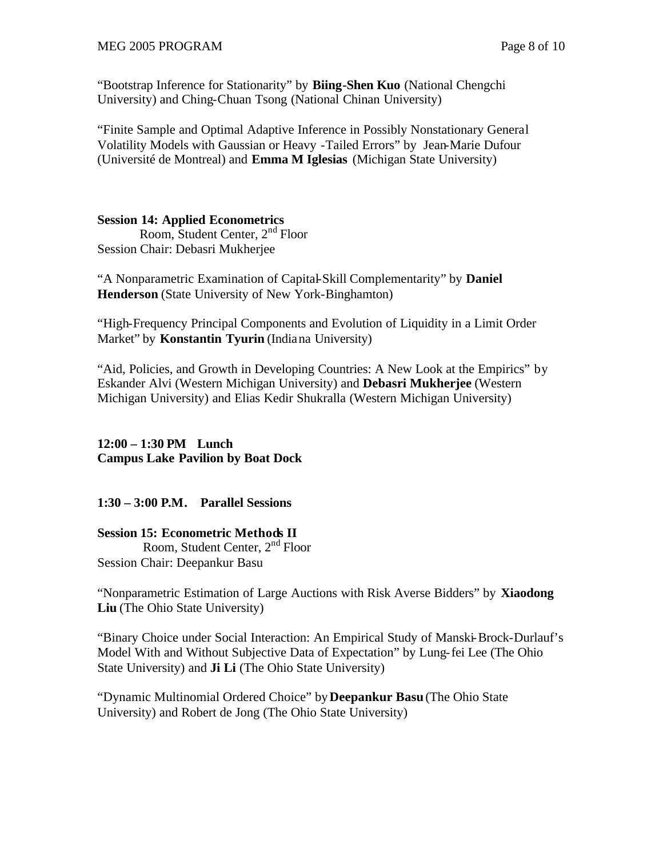"Bootstrap Inference for Stationarity" by **Biing-Shen Kuo** (National Chengchi University) and Ching-Chuan Tsong (National Chinan University)

"Finite Sample and Optimal Adaptive Inference in Possibly Nonstationary General Volatility Models with Gaussian or Heavy -Tailed Errors" by Jean-Marie Dufour (Université de Montreal) and **Emma M Iglesias** (Michigan State University)

#### **Session 14: Applied Econometrics**

 Room, Student Center, 2nd Floor Session Chair: Debasri Mukherjee

"A Nonparametric Examination of Capital-Skill Complementarity" by **Daniel Henderson** (State University of New York-Binghamton)

"High-Frequency Principal Components and Evolution of Liquidity in a Limit Order Market" by **Konstantin Tyurin** (Indiana University)

"Aid, Policies, and Growth in Developing Countries: A New Look at the Empirics" by Eskander Alvi (Western Michigan University) and **Debasri Mukherjee** (Western Michigan University) and Elias Kedir Shukralla (Western Michigan University)

# **12:00 – 1:30 PM Lunch Campus Lake Pavilion by Boat Dock**

**1:30 – 3:00 P.M. Parallel Sessions**

### **Session 15: Econometric Methods II**

 Room, Student Center, 2nd Floor Session Chair: Deepankur Basu

"Nonparametric Estimation of Large Auctions with Risk Averse Bidders" by **Xiaodong Liu** (The Ohio State University)

"Binary Choice under Social Interaction: An Empirical Study of Manski-Brock-Durlauf's Model With and Without Subjective Data of Expectation" by Lung-fei Lee (The Ohio State University) and **Ji Li** (The Ohio State University)

"Dynamic Multinomial Ordered Choice" by **Deepankur Basu** (The Ohio State University) and Robert de Jong (The Ohio State University)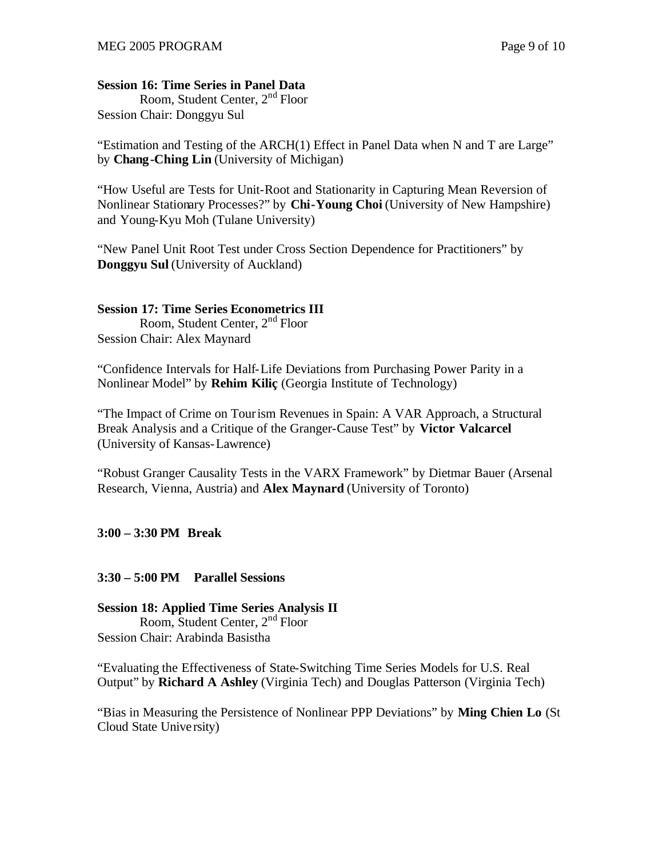# **Session 16: Time Series in Panel Data**

 Room, Student Center, 2nd Floor Session Chair: Donggyu Sul

"Estimation and Testing of the ARCH(1) Effect in Panel Data when N and T are Large" by **Chang-Ching Lin** (University of Michigan)

"How Useful are Tests for Unit-Root and Stationarity in Capturing Mean Reversion of Nonlinear Stationary Processes?" by **Chi-Young Choi** (University of New Hampshire) and Young-Kyu Moh (Tulane University)

"New Panel Unit Root Test under Cross Section Dependence for Practitioners" by **Donggyu Sul** (University of Auckland)

### **Session 17: Time Series Econometrics III**

 Room, Student Center, 2nd Floor Session Chair: Alex Maynard

"Confidence Intervals for Half-Life Deviations from Purchasing Power Parity in a Nonlinear Model" by **Rehim Kiliç** (Georgia Institute of Technology)

"The Impact of Crime on Tourism Revenues in Spain: A VAR Approach, a Structural Break Analysis and a Critique of the Granger-Cause Test" by **Victor Valcarcel** (University of Kansas-Lawrence)

"Robust Granger Causality Tests in the VARX Framework" by Dietmar Bauer (Arsenal Research, Vienna, Austria) and **Alex Maynard** (University of Toronto)

### **3:00 – 3:30 PM Break**

### **3:30 – 5:00 PM Parallel Sessions**

# **Session 18: Applied Time Series Analysis II** Room, Student Center, 2nd Floor Session Chair: Arabinda Basistha

"Evaluating the Effectiveness of State-Switching Time Series Models for U.S. Real Output" by **Richard A Ashley** (Virginia Tech) and Douglas Patterson (Virginia Tech)

"Bias in Measuring the Persistence of Nonlinear PPP Deviations" by **Ming Chien Lo** (St Cloud State Unive rsity)